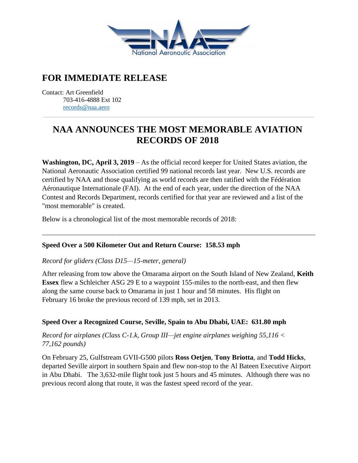

# **FOR IMMEDIATE RELEASE**

Contact: Art Greenfield 703-416-4888 Ext 102 [records@naa.aero](mailto:records@naa.aero)

# **NAA ANNOUNCES THE MOST MEMORABLE AVIATION RECORDS OF 2018**

**Washington, DC, April 3, 2019** – As the official record keeper for United States aviation, the National Aeronautic Association certified 99 national records last year. New U.S. records are certified by NAA and those qualifying as world records are then ratified with the Fédération Aéronautique Internationale (FAI). At the end of each year, under the direction of the NAA Contest and Records Department, records certified for that year are reviewed and a list of the "most memorable" is created.

Below is a chronological list of the most memorable records of 2018:

# **Speed Over a 500 Kilometer Out and Return Course: 158.53 mph**

#### *Record for gliders (Class D15—15-meter, general)*

After releasing from tow above the Omarama airport on the South Island of New Zealand, **Keith Essex** flew a Schleicher ASG 29 E to a waypoint 155-miles to the north-east, and then flew along the same course back to Omarama in just 1 hour and 58 minutes. His flight on February 16 broke the previous record of 139 mph, set in 2013.

\_\_\_\_\_\_\_\_\_\_\_\_\_\_\_\_\_\_\_\_\_\_\_\_\_\_\_\_\_\_\_\_\_\_\_\_\_\_\_\_\_\_\_\_\_\_\_\_\_\_\_\_\_\_\_\_\_\_\_\_\_\_\_\_\_\_\_\_\_\_\_\_\_\_\_\_\_\_\_\_\_\_\_\_\_

# **Speed Over a Recognized Course, Seville, Spain to Abu Dhabi, UAE: 631.80 mph**

*Record for airplanes (Class C-1.k, Group III—jet engine airplanes weighing 55,116 < 77,162 pounds)*

On February 25, Gulfstream GVII-G500 pilots **Ross Oetjen**, **Tony Briotta**, and **Todd Hicks**, departed Seville airport in southern Spain and flew non-stop to the Al Bateen Executive Airport in Abu Dhabi. The 3,632-mile flight took just 5 hours and 45 minutes. Although there was no previous record along that route, it was the fastest speed record of the year.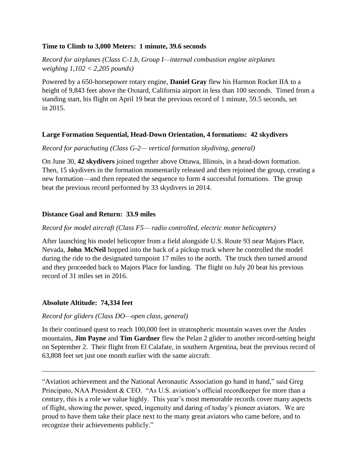#### **Time to Climb to 3,000 Meters: 1 minute, 39.6 seconds**

*Record for airplanes (Class C-1.b, Group I—internal combustion engine airplanes weighing 1,102 < 2,205 pounds)*

Powered by a 650-horsepower rotary engine, **Daniel Gray** flew his Harmon Rocket IIA to a height of 9,843 feet above the Oxnard, California airport in less than 100 seconds. Timed from a standing start, his flight on April 19 beat the previous record of 1 minute, 59.5 seconds, set in 2015.

#### **Large Formation Sequential, Head-Down Orientation, 4 formations: 42 skydivers**

#### *Record for parachuting (Class G-2— vertical formation skydiving, general)*

On June 30, **42 skydivers** joined together above Ottawa, Illinois, in a head-down formation. Then, 15 skydivers in the formation momentarily released and then rejoined the group, creating a new formation—and then repeated the sequence to form 4 successful formations. The group beat the previous record performed by 33 skydivers in 2014.

#### **Distance Goal and Return: 33.9 miles**

#### *Record for model aircraft (Class F5— radio controlled, electric motor helicopters)*

After launching his model helicopter from a field alongside U.S. Route 93 near Majors Place, Nevada, **John McNeil** hopped into the back of a pickup truck where he controlled the model during the ride to the designated turnpoint 17 miles to the north. The truck then turned around and they proceeded back to Majors Place for landing. The flight on July 20 beat his previous record of 31 miles set in 2016.

# **Absolute Altitude: 74,334 feet**

#### *Record for gliders (Class DO—open class, general)*

In their continued quest to reach 100,000 feet in stratospheric mountain waves over the Andes mountains, **Jim Payne** and **Tim Gardner** flew the Pelan 2 glider to another record-setting height on September 2. Their flight from El Calafate, in southern Argentina, beat the previous record of 63,808 feet set just one month earlier with the same aircraft.

\_\_\_\_\_\_\_\_\_\_\_\_\_\_\_\_\_\_\_\_\_\_\_\_\_\_\_\_\_\_\_\_\_\_\_\_\_\_\_\_\_\_\_\_\_\_\_\_\_\_\_\_\_\_\_\_\_\_\_\_\_\_\_\_\_\_\_\_\_\_\_\_\_\_\_\_\_\_\_\_\_\_\_\_\_

"Aviation achievement and the National Aeronautic Association go hand in hand," said Greg Principato, NAA President & CEO. "As U.S. aviation's official recordkeeper for more than a century, this is a role we value highly. This year's most memorable records cover many aspects of flight, showing the power, speed, ingenuity and daring of today's pioneer aviators. We are proud to have them take their place next to the many great aviators who came before, and to recognize their achievements publicly."